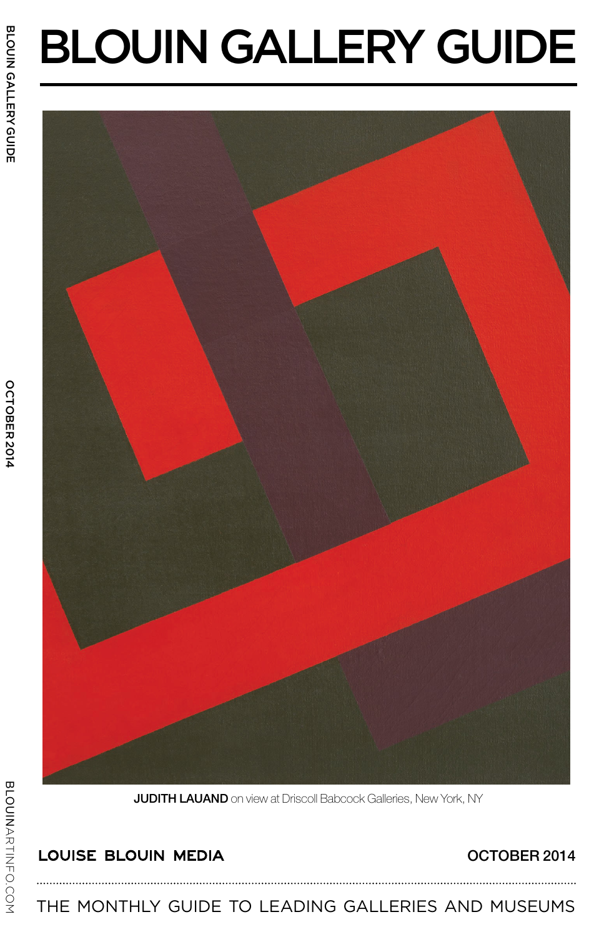# Blouin GALLERY GUIDE



JUDITH LAUAND on view at Driscoll Babcock Galleries, New York, NY

# LOUISE BLOUIN MEDIA

## OCTOBER 2014

The monthly guide to leading galleries and museums